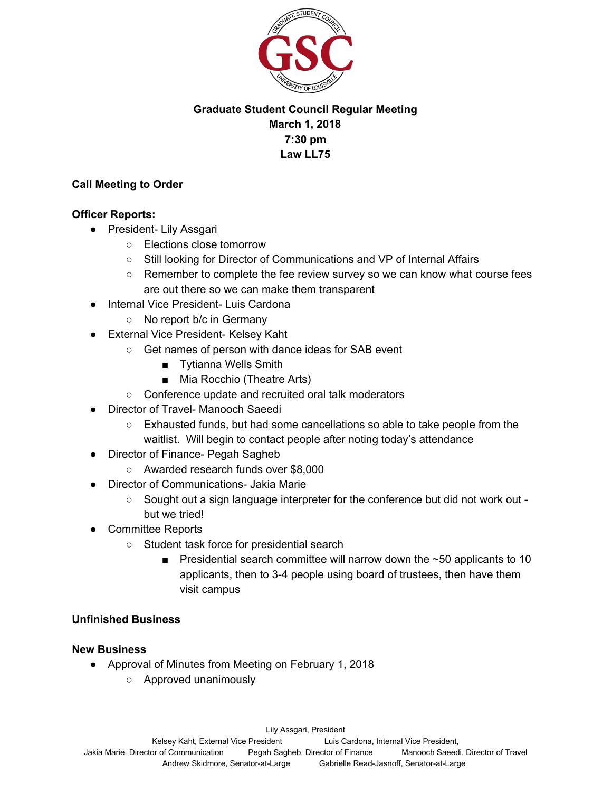

# **Graduate Student Council Regular Meeting March 1, 2018 7:30 pm Law LL75**

### **Call Meeting to Order**

### **Officer Reports:**

- President- Lily Assgari
	- Elections close tomorrow
	- Still looking for Director of Communications and VP of Internal Affairs
	- Remember to complete the fee review survey so we can know what course fees are out there so we can make them transparent
- **Internal Vice President- Luis Cardona** 
	- No report b/c in Germany
- External Vice President- Kelsey Kaht
	- Get names of person with dance ideas for SAB event
		- Tytianna Wells Smith
		- Mia Rocchio (Theatre Arts)
	- Conference update and recruited oral talk moderators
- Director of Travel- Manooch Saeedi
	- Exhausted funds, but had some cancellations so able to take people from the waitlist. Will begin to contact people after noting today's attendance
- Director of Finance- Pegah Sagheb
	- Awarded research funds over \$8,000
- Director of Communications- Jakia Marie
	- Sought out a sign language interpreter for the conference but did not work out but we tried!
- Committee Reports
	- Student task force for presidential search
		- **•** Presidential search committee will narrow down the  $\sim$ 50 applicants to 10 applicants, then to 3-4 people using board of trustees, then have them visit campus

## **Unfinished Business**

## **New Business**

- Approval of Minutes from Meeting on February 1, 2018
	- Approved unanimously